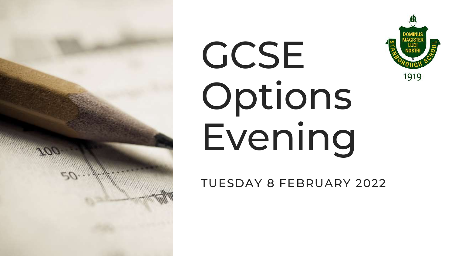





TUESDAY 8 FEBRUARY 2022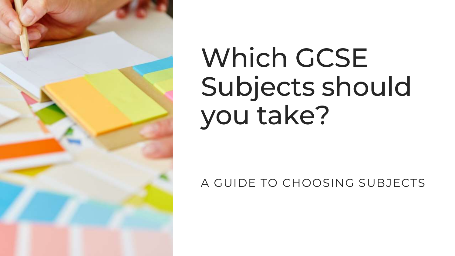

# Which GCSE Subjects should you take?

A GUIDE TO CHOOSING SUBJECTS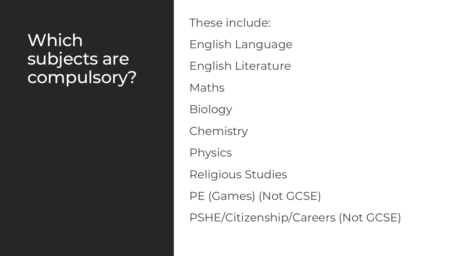### **Which** subjects are compulsory?

These include: English Language English Literature Maths Biology **Chemistry** Physics Religious Studies PE (Games) (Not GCSE) PSHE/Citizenship/Careers (Not GCSE)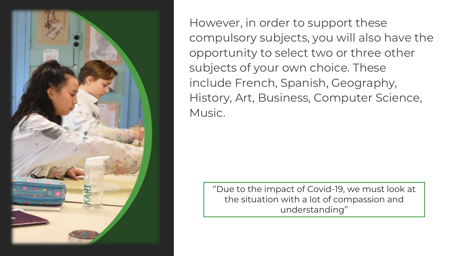

However, in order to support these compulsory subjects, you will also have the opportunity to select two or three other subjects of your own choice. These include French, Spanish, Geography, History, Art, Business, Computer Science, Music.

''Due to the impact of Covid-19, we must look at the situation with a lot of compassion and understanding''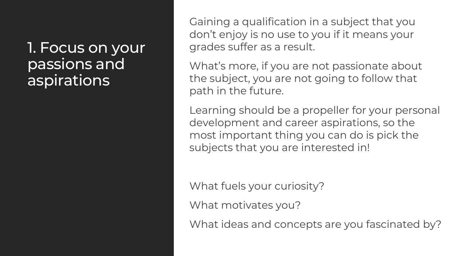1. Focus on your passions and aspirations

Gaining a qualification in a subject that you don't enjoy is no use to you if it means your grades suffer as a result.

What's more, if you are not passionate about the subject, you are not going to follow that path in the future.

Learning should be a propeller for your personal development and career aspirations, so the most important thing you can do is pick the subjects that you are interested in!

What fuels your curiosity?

What motivates you?

What ideas and concepts are you fascinated by?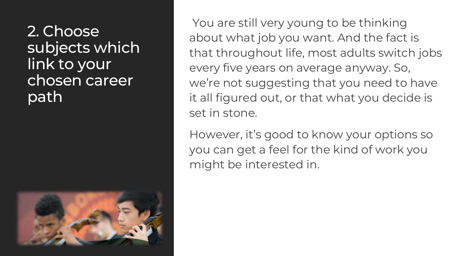2. Choose subjects which link to your chosen career path



You are still very young to be thinking about what job you want. And the fact is that throughout life, most adults switch jobs every five years on average anyway. So, we're not suggesting that you need to have it all figured out, or that what you decide is set in stone.

However, it's good to know your options so you can get a feel for the kind of work you might be interested in.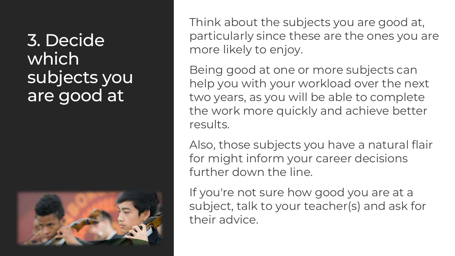3. Decide which subjects you are good at



Think about the subjects you are good at, particularly since these are the ones you are more likely to enjoy.

Being good at one or more subjects can help you with your workload over the next two years, as you will be able to complete the work more quickly and achieve better results.

Also, those subjects you have a natural flair for might inform your career decisions further down the line.

If you're not sure how good you are at a subject, talk to your teacher(s) and ask for their advice.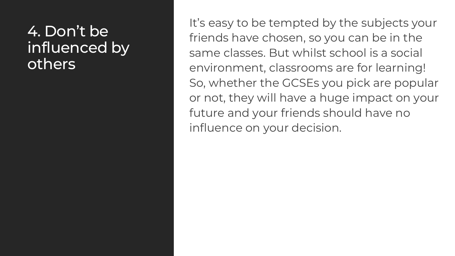#### 4. Don't be influenced by others

It's easy to be tempted by the subjects your friends have chosen, so you can be in the same classes. But whilst school is a social environment, classrooms are for learning! So, whether the GCSEs you pick are popular or not, they will have a huge impact on your future and your friends should have no influence on your decision.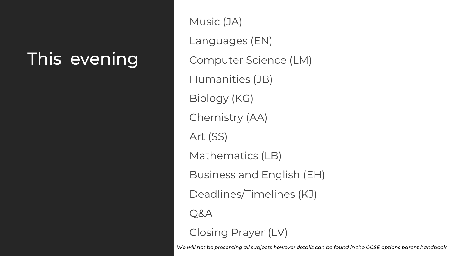## This evening

Music (JA) Languages (EN) Computer Science (LM) Humanities (JB) Biology (KG) Chemistry (AA) Art (SS) Mathematics (LB) Business and English (EH) Deadlines/Timelines (KJ) Q&A Closing Prayer (LV)

*We will not be presenting all subjects however details can be found in the GCSE options parent handbook.*